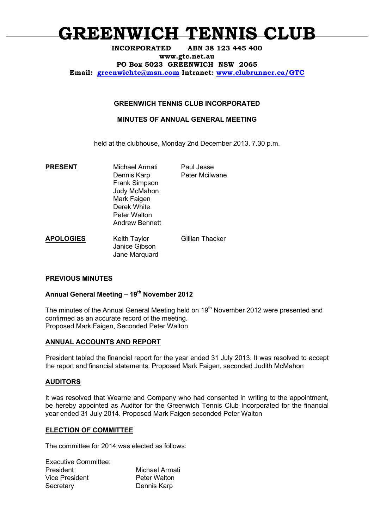# **GREENWICH TENNIS CLUB**

#### **INCORPORATED ABN 38 123 445 400**

**www.gtc.net.au**

**PO Box 5023 GREENWICH NSW 2065**

**Email: greenwichtc@msn.com Intranet: www.clubrunner.ca/GTC**

## **GREENWICH TENNIS CLUB INCORPORATED**

### **MINUTES OF ANNUAL GENERAL MEETING**

held at the clubhouse, Monday 2nd December 2013, 7.30 p.m.

**PRESENT** Michael Armati Paul Jesse Dennis Karp Peter Mcilwane Frank Simpson Judy McMahon Mark Faigen Derek White Peter Walton Andrew Bennett **APOLOGIES** Keith Taylor Gillian Thacker Janice Gibson Jane Marquard

# **PREVIOUS MINUTES**

# **Annual General Meeting – 19th November 2012**

The minutes of the Annual General Meeting held on 19<sup>th</sup> November 2012 were presented and confirmed as an accurate record of the meeting. Proposed Mark Faigen, Seconded Peter Walton

#### **ANNUAL ACCOUNTS AND REPORT**

President tabled the financial report for the year ended 31 July 2013. It was resolved to accept the report and financial statements. Proposed Mark Faigen, seconded Judith McMahon

#### **AUDITORS**

It was resolved that Wearne and Company who had consented in writing to the appointment, be hereby appointed as Auditor for the Greenwich Tennis Club Incorporated for the financial year ended 31 July 2014. Proposed Mark Faigen seconded Peter Walton

#### **ELECTION OF COMMITTEE**

The committee for 2014 was elected as follows:

| <b>Michael Armati</b> |
|-----------------------|
| <b>Peter Walton</b>   |
| Dennis Karp           |
|                       |